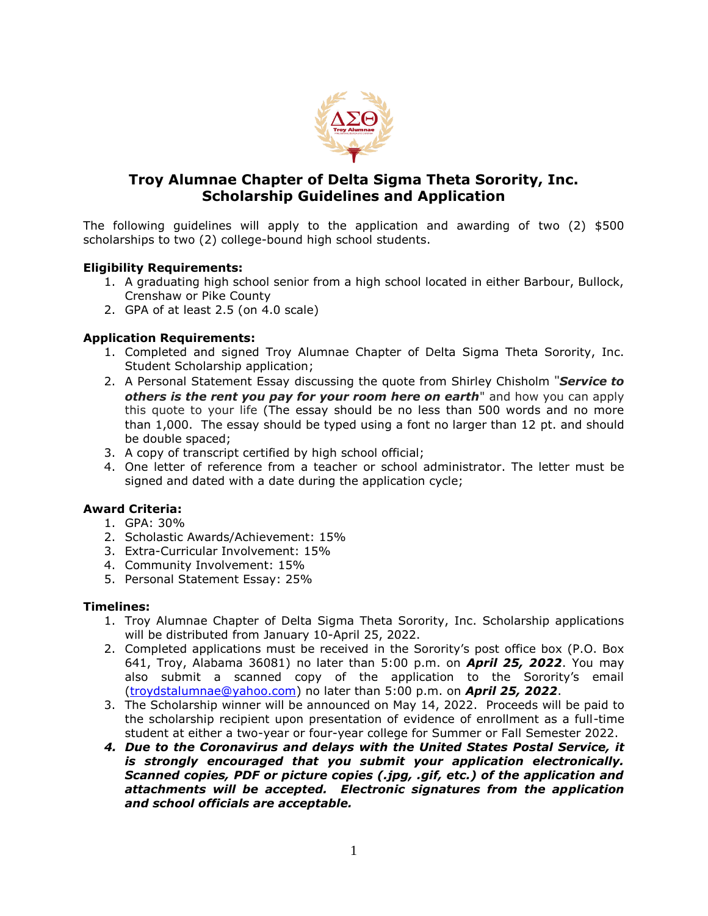

# **Troy Alumnae Chapter of Delta Sigma Theta Sorority, Inc. Scholarship Guidelines and Application**

The following guidelines will apply to the application and awarding of two (2) \$500 scholarships to two (2) college-bound high school students.

## **Eligibility Requirements:**

- 1. A graduating high school senior from a high school located in either Barbour, Bullock, Crenshaw or Pike County
- 2. GPA of at least 2.5 (on 4.0 scale)

## **Application Requirements:**

- 1. Completed and signed Troy Alumnae Chapter of Delta Sigma Theta Sorority, Inc. Student Scholarship application;
- 2. A Personal Statement Essay discussing the quote from Shirley Chisholm "*Service to others is the rent you pay for your room here on earth*" and how you can apply this quote to your life (The essay should be no less than 500 words and no more than 1,000. The essay should be typed using a font no larger than 12 pt. and should be double spaced;
- 3. A copy of transcript certified by high school official;
- 4. One letter of reference from a teacher or school administrator. The letter must be signed and dated with a date during the application cycle;

#### **Award Criteria:**

- 1. GPA: 30%
- 2. Scholastic Awards/Achievement: 15%
- 3. Extra-Curricular Involvement: 15%
- 4. Community Involvement: 15%
- 5. Personal Statement Essay: 25%

#### **Timelines:**

- 1. Troy Alumnae Chapter of Delta Sigma Theta Sorority, Inc. Scholarship applications will be distributed from January 10-April 25, 2022.
- 2. Completed applications must be received in the Sorority's post office box (P.O. Box 641, Troy, Alabama 36081) no later than 5:00 p.m. on *April 25, 2022*. You may also submit a scanned copy of the application to the Sorority's email [\(troydstalumnae@yahoo.com\)](mailto:troydstalumnae@yahoo.com) no later than 5:00 p.m. on *April 25, 2022*.
- 3. The Scholarship winner will be announced on May 14, 2022. Proceeds will be paid to the scholarship recipient upon presentation of evidence of enrollment as a full-time student at either a two-year or four-year college for Summer or Fall Semester 2022.
- *4. Due to the Coronavirus and delays with the United States Postal Service, it is strongly encouraged that you submit your application electronically. Scanned copies, PDF or picture copies (.jpg, .gif, etc.) of the application and attachments will be accepted. Electronic signatures from the application and school officials are acceptable.*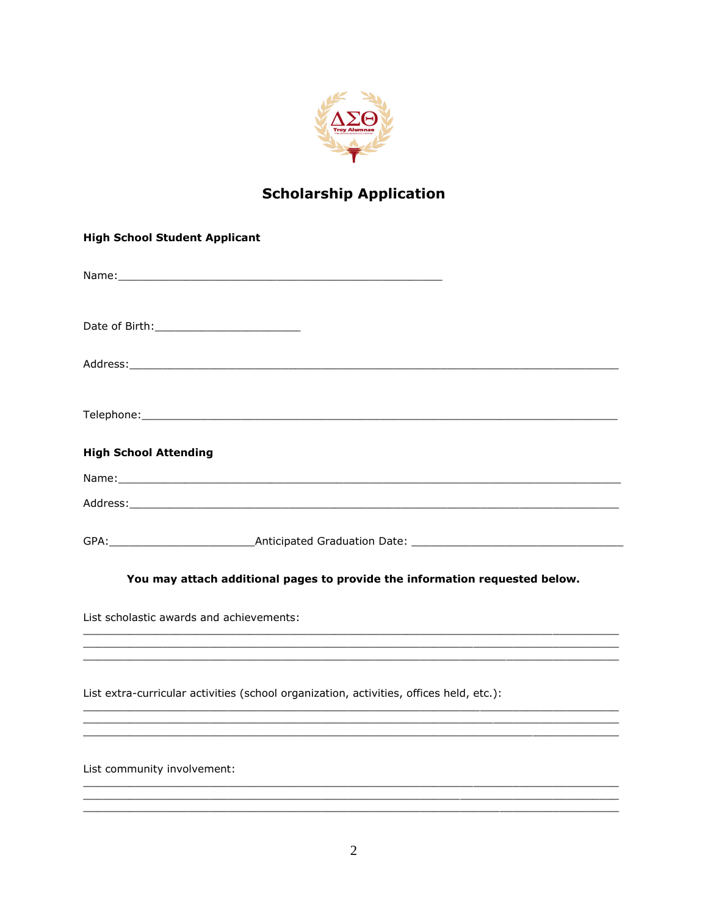

# **Scholarship Application**

| <b>High School Student Applicant</b>     |                                                                                                                                                                                                                                |
|------------------------------------------|--------------------------------------------------------------------------------------------------------------------------------------------------------------------------------------------------------------------------------|
|                                          |                                                                                                                                                                                                                                |
|                                          |                                                                                                                                                                                                                                |
|                                          | Address: Address: Address: Address: Address: Address: Address: Address: Address: Address: Address: A                                                                                                                           |
|                                          |                                                                                                                                                                                                                                |
| <b>High School Attending</b>             |                                                                                                                                                                                                                                |
|                                          |                                                                                                                                                                                                                                |
|                                          |                                                                                                                                                                                                                                |
|                                          | GPA: COMPLETE: COMPLETE: Anticipated Graduation Date: Complete: COMPLETE: COMPLETE: COMPLETE: COMPLETE: COMPLETE: COMPLETE: COMPLETE: COMPLETE: COMPLETE: COMPLETE: COMPLETE: COMPLETE: COMPLETE: COMPLETE: COMPLETE: COMPLETE |
|                                          | You may attach additional pages to provide the information requested below.                                                                                                                                                    |
| List scholastic awards and achievements: |                                                                                                                                                                                                                                |
|                                          |                                                                                                                                                                                                                                |
|                                          | List extra-curricular activities (school organization, activities, offices held, etc.):                                                                                                                                        |
|                                          |                                                                                                                                                                                                                                |
| List community involvement:              |                                                                                                                                                                                                                                |